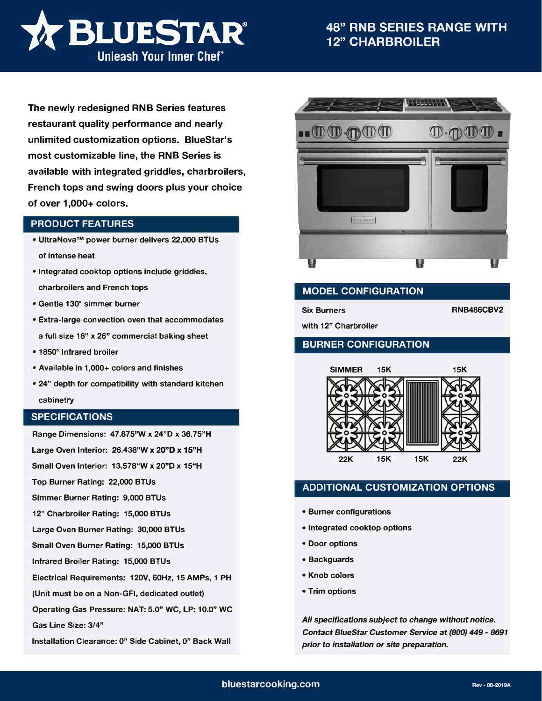

# **48" RNB SERIES RANGE WITH 12" CHARBROILER**

**The newly redesigned RNB Series features restaurant quality performance and nearly unlimited customization options. BlueStar's most customizable line, the RNB Series is available with integrated griddles, charbroilers, French tops and swing doors plus your choice of over 1,000+ colors.**

### **PRODUCT FEATURES**

- **• UltraNova™ power burner delivers 22,000 BTUs of intense heat**
- **• Integrated cooktop options include griddles, charbroilers and French tops**
- **• Gentle 130° simmer burner**
- **• Extra-large convection oven that accommodates a full size 18" x 26" commercial baking sheet**
- **• 1850° Infrared broiler**
- **• Available in 1,000+ colors and finishes**
- **• 24" depth for compatibility with standard kitchen cabinetry**

#### **SPECIFICATIONS**

**Range Dimensions: 47.875"W x 24"D x 36.75"H Large Oven Interior: 26.438"W x 20"D x 15"H** 

**Small Oven Interior: 13.578"W x 20"D x 15"H** 

**Top Burner Rating: 22,000 BTUs** 

**Simmer Burner Rating: 9,000 BTUs** 

**12" Charbroiler Rating: 15,000 BTUs** 

**Large Oven Burner Rating: 30,000 BTUs** 

**Small Oven Burner Rating: 15,000 BTUs** 

**Infrared Broiler Rating: 15,000 BTUs** 

**Electrical Requirements: 120V, 60Hz, 15 AMPs, 1 PH** 

**(Unit must be on a Non-GFI, dedicated outlet)** 

**Operating Gas Pressure: NAT: 5.0" WC, LP: 10.0" WC** 

**Gas Line Size: 3/4"** 

**Installation Clearance: 0" Side Cabinet, O" Back Wall** 



## **MODEL CONFIGURATION**

**Six Burners** 

**with 12" Charbroiler** 

### **BURNER CONFIGURATION**



## **ADDITIONAL CUSTOMIZATION OPTIONS**

- **• Burner configurations**
- **• Integrated cooktop options**
- **• Door options**
- **• Backguards**
- **• Knob colors**
- **• Trim options**

*All specifications subject to change without notice. Contact BlueStar Customer Service at (800} 449* - *8691 prior* **to** *installation or site preparation.* 

**RNB486CBV2**